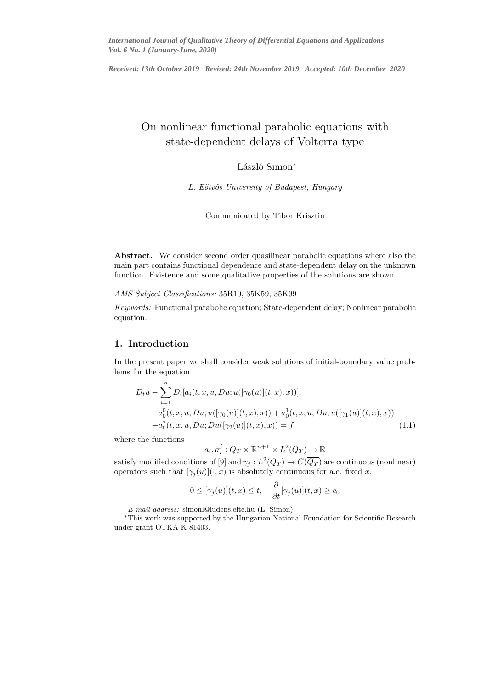*Received: 13th October 2019 Revised: 24th November 2019 Accepted: 10th December 2020*

# On nonlinear functional parabolic equations with state-dependent delays of Volterra type

# László Simon<sup>∗</sup>

L. Eötvös University of Budapest, Hungary

Communicated by Tibor Krisztin

Abstract. We consider second order quasilinear parabolic equations where also the main part contains functional dependence and state-dependent delay on the unknown function. Existence and some qualitative properties of the solutions are shown.

AMS Subject Classifications: 35R10, 35K59, 35K99

Keywords: Functional parabolic equation; State-dependent delay; Nonlinear parabolic equation.

## 1. Introduction

In the present paper we shall consider weak solutions of initial-boundary value problems for the equation

$$
D_t u - \sum_{i=1}^n D_i[a_i(t, x, u, Du; u([\gamma_0(u)](t, x), x))]
$$
  
+ $a_0^0(t, x, u, Du; u([\gamma_0(u)](t, x), x)) + a_0^1(t, x, u, Du; u([\gamma_1(u)](t, x), x))$   
+ $a_0^2(t, x, u, Du; Du([\gamma_2(u)](t, x), x)) = f$  (1.1)

where the functions

$$
a_i, a_i^j: Q_T \times \mathbb{R}^{n+1} \times L^2(Q_T) \to \mathbb{R}
$$

satisfy modified conditions of [9] and  $\gamma_j: L^2(Q_T) \to C(\overline{Q_T})$  are continuous (nonlinear) operators such that  $[\gamma_i(u)](\cdot,x)$  is absolutely continuous for a.e. fixed x,

$$
0 \leq [\gamma_j(u)](t,x) \leq t, \quad \frac{\partial}{\partial t}[\gamma_j(u)](t,x) \geq c_0
$$

E-mail address: simonl@ludens.elte.hu (L. Simon)

<sup>∗</sup>This work was supported by the Hungarian National Foundation for Scientific Research under grant OTKA K 81403.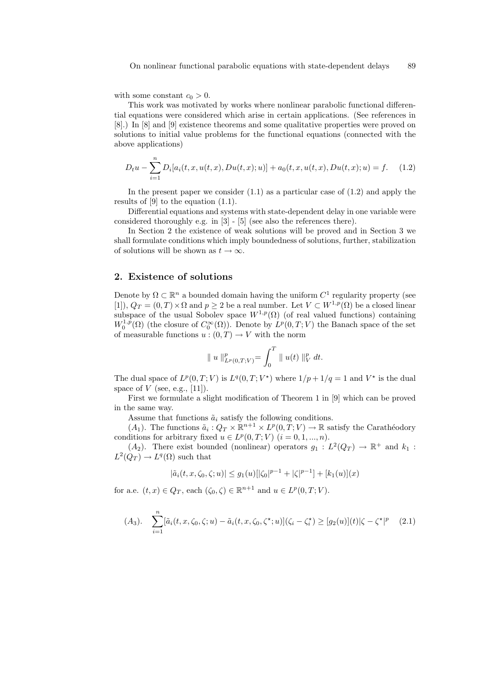with some constant  $c_0 > 0$ .

This work was motivated by works where nonlinear parabolic functional differential equations were considered which arise in certain applications. (See references in [8].) In [8] and [9] existence theorems and some qualitative properties were proved on solutions to initial value problems for the functional equations (connected with the above applications)

$$
D_t u - \sum_{i=1}^n D_i[a_i(t, x, u(t, x), Du(t, x); u)] + a_0(t, x, u(t, x), Du(t, x); u) = f.
$$
 (1.2)

In the present paper we consider  $(1.1)$  as a particular case of  $(1.2)$  and apply the results of [9] to the equation (1.1).

Differential equations and systems with state-dependent delay in one variable were considered thoroughly e.g. in [3] - [5] (see also the references there).

In Section 2 the existence of weak solutions will be proved and in Section 3 we shall formulate conditions which imply boundedness of solutions, further, stabilization of solutions will be shown as  $t \to \infty$ .

## 2. Existence of solutions

Denote by  $\Omega \subset \mathbb{R}^n$  a bounded domain having the uniform  $C^1$  regularity property (see [1]),  $Q_T = (0,T) \times \Omega$  and  $p \geq 2$  be a real number. Let  $V \subset W^{1,p}(\Omega)$  be a closed linear subspace of the usual Sobolev space  $W^{1,p}(\Omega)$  (of real valued functions) containing  $W_0^{1,p}(\Omega)$  (the closure of  $C_0^{\infty}(\Omega)$ ). Denote by  $L^p(0,T;V)$  the Banach space of the set of measurable functions  $u:(0,T) \to V$  with the norm

$$
\| u \|_{L^p(0,T;V)}^p = \int_0^T \| u(t) \|_V^p dt.
$$

The dual space of  $L^p(0,T;V)$  is  $L^q(0,T;V^*)$  where  $1/p+1/q=1$  and  $V^*$  is the dual space of  $V$  (see, e.g., [11]).

First we formulate a slight modification of Theorem 1 in [9] which can be proved in the same way.

Assume that functions  $\tilde{a}_i$  satisfy the following conditions.

 $(A_1)$ . The functions  $\tilde{a}_i: Q_T \times \mathbb{R}^{n+1} \times L^p(0,T;V) \to \mathbb{R}$  satisfy the Carathéodory conditions for arbitrary fixed  $u \in L^p(0,T;V)$   $(i = 0,1,...,n)$ .

 $(A_2)$ . There exist bounded (nonlinear) operators  $g_1 : L^2(Q_T) \to \mathbb{R}^+$  and  $k_1$ :  $L^2(Q_T) \to L^q(\Omega)$  such that

$$
|\tilde{a}_i(t, x, \zeta_0, \zeta; u)| \le g_1(u) \left[ |\zeta_0|^{p-1} + |\zeta|^{p-1} \right] + [k_1(u)](x)
$$

for a.e.  $(t, x) \in Q_T$ , each  $(\zeta_0, \zeta) \in \mathbb{R}^{n+1}$  and  $u \in L^p(0, T; V)$ .

$$
(A_3). \quad \sum_{i=1}^n [\tilde{a}_i(t, x, \zeta_0, \zeta; u) - \tilde{a}_i(t, x, \zeta_0, \zeta^*; u)](\zeta_i - \zeta_i^*) \ge [g_2(u)](t)|\zeta - \zeta^*|^p \tag{2.1}
$$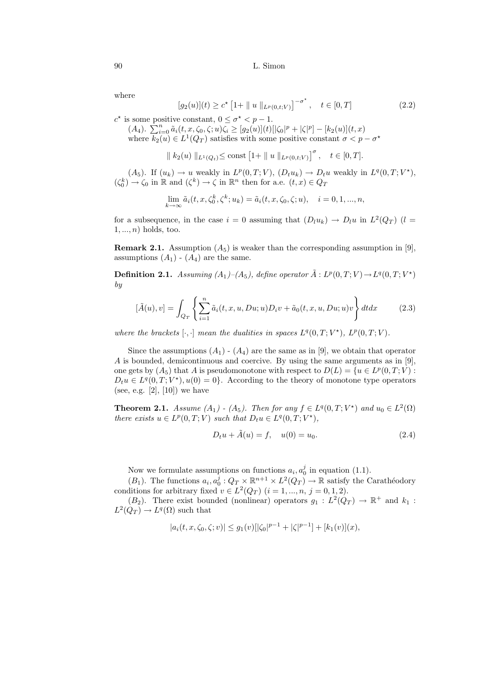where

$$
[g_2(u)](t) \ge c^* \left[1 + \| u \|_{L^p(0,t;V)}\right]^{-\sigma^*}, \quad t \in [0,T]
$$
\n(2.2)

 $c^*$  is some positive constant,  $0 \leq \sigma^* < p - 1$ .

(A<sub>4</sub>).  $\sum_{i=0}^{n} \tilde{a}_i(t, x, \zeta_0, \zeta; u) \zeta_i \geq [g_2(u)](t) [\zeta_0]^p + |\zeta|^p - [k_2(u)](t, x)$ where  $k_2(u) \in L^1(Q_T)$  satisfies with some positive constant  $\sigma < p - \sigma^*$ 

$$
|| k_2(u) ||_{L^1(Q_t)} \le \text{const} [1+ || u ||_{L^p(0,t;V)}]^{\sigma}, \quad t \in [0,T].
$$

 $(A_5)$ . If  $(u_k) \to u$  weakly in  $L^p(0,T;V)$ ,  $(D_t u_k) \to D_t u$  weakly in  $L^q(0,T;V^*)$ ,  $(\zeta_0^k) \to \zeta_0$  in  $\mathbb R$  and  $(\zeta^k) \to \zeta$  in  $\mathbb R^n$  then for a.e.  $(t, x) \in Q_T$ 

$$
\lim_{k \to \infty} \tilde{a}_i(t, x, \zeta_0^k, \zeta^k; u_k) = \tilde{a}_i(t, x, \zeta_0, \zeta; u), \quad i = 0, 1, ..., n,
$$

for a subsequence, in the case  $i = 0$  assuming that  $(D_l u_k) \to D_l u$  in  $L^2(Q_T)$   $(l =$  $1, \ldots, n$ ) holds, too.

**Remark 2.1.** Assumption  $(A_5)$  is weaker than the corresponding assumption in [9]. assumptions  $(A_1)$  -  $(A_4)$  are the same.

**Definition 2.1.** Assuming  $(A_1)$ - $(A_5)$ , define operator  $\tilde{A}: L^p(0,T;V) \rightarrow L^q(0,T;V^*)$ by

$$
[\tilde{A}(u), v] = \int_{Q_T} \left\{ \sum_{i=1}^n \tilde{a}_i(t, x, u, Du; u) D_i v + \tilde{a}_0(t, x, u, Du; u) v \right\} dt dx \tag{2.3}
$$

where the brackets  $[\cdot, \cdot]$  mean the dualities in spaces  $L^q(0,T;V^*)$ ,  $L^p(0,T;V)$ .

Since the assumptions  $(A_1)$  -  $(A_4)$  are the same as in [9], we obtain that operator A is bounded, demicontinuous and coercive. By using the same arguments as in [9], one gets by  $(A_5)$  that A is pseudomonotone with respect to  $D(L) = \{u \in L^p(0,T;V) :$  $D_t u \in L^q(0,T;V^*), u(0) = 0$ . According to the theory of monotone type operators (see, e.g. [2], [10]) we have

**Theorem 2.1.** Assume  $(A_1)$  -  $(A_5)$ . Then for any  $f \in L^q(0,T;V^*)$  and  $u_0 \in L^2(\Omega)$ there exists  $u \in L^p(0,T;V)$  such that  $D_t u \in L^q(0,T;V^*),$ 

$$
D_t u + \tilde{A}(u) = f, \quad u(0) = u_0.
$$
 (2.4)

Now we formulate assumptions on functions  $a_i, a_0^j$  in equation (1.1).

 $(B_1)$ . The functions  $a_i, a_0^j : Q_T \times \mathbb{R}^{n+1} \times L^2(Q_T) \to \mathbb{R}$  satisfy the Carathéodory conditions for arbitrary fixed  $v \in L^2(Q_T)$   $(i = 1, ..., n, j = 0, 1, 2)$ .

 $(B_2)$ . There exist bounded (nonlinear) operators  $g_1 : L^2(Q_T) \to \mathbb{R}^+$  and  $k_1$ :  $L^2(Q_T) \to L^q(\Omega)$  such that

$$
|a_i(t, x, \zeta_0, \zeta; v)| \le g_1(v) \left[ |\zeta_0|^{p-1} + |\zeta|^{p-1} \right] + [k_1(v)](x),
$$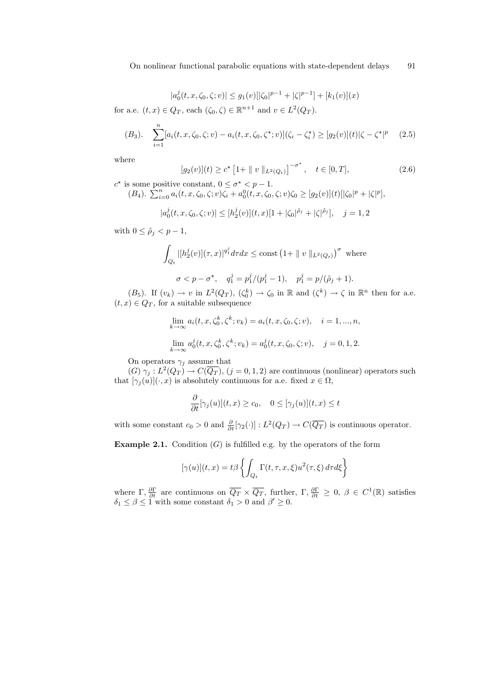$$
|a_0^j(t, x, \zeta_0, \zeta; v)| \le g_1(v) \left[ |\zeta_0|^{p-1} + |\zeta|^{p-1} \right] + [k_1(v)](x)
$$

for a.e.  $(t, x) \in Q_T$ , each  $(\zeta_0, \zeta) \in \mathbb{R}^{n+1}$  and  $v \in L^2(Q_T)$ .

$$
(B_3). \quad \sum_{i=1}^n [a_i(t, x, \zeta_0, \zeta; v) - a_i(t, x, \zeta_0, \zeta^*; v)](\zeta_i - \zeta_i^*) \ge [g_2(v)](t)|\zeta - \zeta^*|^p \tag{2.5}
$$

where

$$
[g_2(v)](t) \ge c^* \left[1 + \|v\|_{L^2(Q_t)}\right]^{-\sigma^*}, \quad t \in [0, T], \tag{2.6}
$$

 $c^*$  is some positive constant,  $0 \leq \sigma^* < p - 1$ .  $(B_4)$ .  $\sum_{i=0}^{n} a_i(t, x, \zeta_0, \zeta; v) \zeta_i + a_0^0(t, x, \zeta_0, \zeta; v) \zeta_0 \geq [g_2(v)](t) \left[ |\zeta_0|^p + |\zeta|^p \right],$ 

$$
|a_0^j(t, x, \zeta_0, \zeta; v)| \le [h_2^j(v)](t, x)[1 + |\zeta_0|^{\tilde{\rho}_j} + |\zeta|^{\tilde{\rho}_j}], \quad j = 1, 2
$$

with  $0 \leq \tilde{\rho}_j < p-1$ ,

$$
\int_{Q_t} |[h_2^j(v)](\tau, x)|^{q_1^j} d\tau dx \le \text{const} (1 + \|v\|_{L^2(Q_t)})^{\sigma} \text{ where}
$$
  

$$
\sigma < p - \sigma^*, \quad q_1^j = p_1^j/(p_1^j - 1), \quad p_1^j = p/(\tilde{\rho}_j + 1).
$$

 $(B_5)$ . If  $(v_k) \to v$  in  $L^2(Q_T)$ ,  $(\zeta_0^k) \to \zeta_0$  in  $\mathbb R$  and  $(\zeta^k) \to \zeta$  in  $\mathbb R^n$  then for a.e.  $(t, x) \in Q_T$ , for a suitable subsequence

$$
\lim_{k \to \infty} a_i(t, x, \zeta_0^k, \zeta^k; v_k) = a_i(t, x, \zeta_0, \zeta; v), \quad i = 1, ..., n,
$$
  

$$
\lim_{k \to \infty} a_0^j(t, x, \zeta_0^k, \zeta^k; v_k) = a_0^j(t, x, \zeta_0, \zeta; v), \quad j = 0, 1, 2.
$$

On operators  $\gamma_j$  assume that

 $(G) \gamma_j : L^2(Q_T) \to C(\overline{Q_T}), (j = 0, 1, 2)$  are continuous (nonlinear) operators such that  $[\gamma_i(u)](\cdot,x)$  is absolutely continuous for a.e. fixed  $x \in \Omega$ ,

$$
\frac{\partial}{\partial t}[\gamma_j(u)](t,x) \ge c_0, \quad 0 \le [\gamma_j(u)](t,x) \le t
$$

with some constant  $c_0 > 0$  and  $\frac{\partial}{\partial t} [\gamma_2(\cdot)] : L^2(Q_T) \to C(\overline{Q_T})$  is continuous operator.

**Example 2.1.** Condition  $(G)$  is fulfilled e.g. by the operators of the form

$$
[\gamma(u)](t,x) = t\beta \left\{ \int_{Q_t} \Gamma(t,\tau,x,\xi) u^2(\tau,\xi) d\tau d\xi \right\}
$$

where  $\Gamma$ ,  $\frac{\partial \Gamma}{\partial t}$  are continuous on  $\overline{Q_T} \times \overline{Q_T}$ , further,  $\Gamma$ ,  $\frac{\partial \Gamma}{\partial t} \geq 0$ ,  $\beta \in C^1(\mathbb{R})$  satisfies  $\delta_1 \leq \beta \leq 1$  with some constant  $\delta_1 > 0$  and  $\beta' \geq 0$ .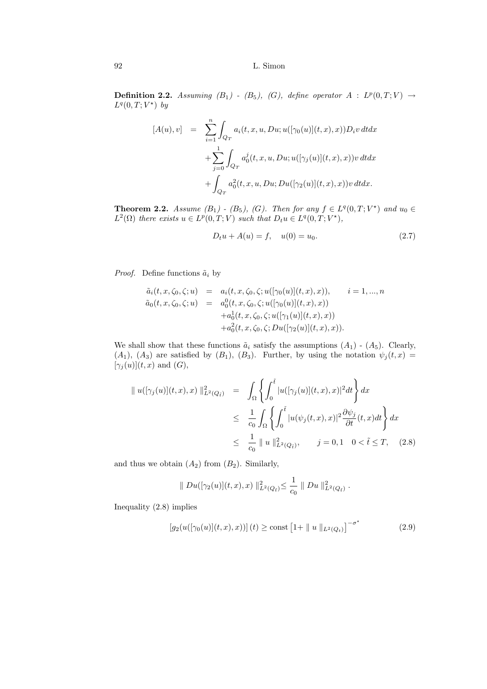**Definition 2.2.** Assuming  $(B_1)$  -  $(B_5)$ ,  $(G)$ , define operator  $A : L^p(0,T;V) \rightarrow$  $L^q(0,T;V^\star)$  by

$$
[A(u), v] = \sum_{i=1}^{n} \int_{Q_T} a_i(t, x, u, Du; u([\gamma_0(u)](t, x), x)) D_i v \, dt dx + \sum_{j=0}^{1} \int_{Q_T} a_0^j(t, x, u, Du; u([\gamma_j(u)](t, x), x)) v \, dt dx + \int_{Q_T} a_0^2(t, x, u, Du; Du([\gamma_2(u)](t, x), x)) v \, dt dx.
$$

**Theorem 2.2.** Assume  $(B_1)$  -  $(B_5)$ ,  $(G)$ . Then for any  $f \in L^q(0,T;V^*)$  and  $u_0 \in$  $L^2(\Omega)$  there exists  $u \in L^p(0,T;V)$  such that  $D_t u \in L^q(0,T;V^*)$ ,

$$
D_t u + A(u) = f, \quad u(0) = u_0. \tag{2.7}
$$

*Proof.* Define functions  $\tilde{a}_i$  by

$$
\tilde{a}_i(t, x, \zeta_0, \zeta; u) = a_i(t, x, \zeta_0, \zeta; u([\gamma_0(u)](t, x), x)), \qquad i = 1, ..., n
$$
  
\n
$$
\tilde{a}_0(t, x, \zeta_0, \zeta; u) = a_0^0(t, x, \zeta_0, \zeta; u([\gamma_0(u)](t, x), x))
$$
  
\n
$$
+ a_0^1(t, x, \zeta_0, \zeta; u([\gamma_1(u)](t, x), x))
$$
  
\n
$$
+ a_0^2(t, x, \zeta_0, \zeta; Du([\gamma_2(u)](t, x), x)).
$$

We shall show that these functions  $\tilde{a}_i$  satisfy the assumptions  $(A_1)$  -  $(A_5)$ . Clearly,  $(A_1), (A_3)$  are satisfied by  $(B_1), (B_3)$ . Further, by using the notation  $\psi_j(t,x)$  $[\gamma_j(u)](t,x)$  and  $(G)$ ,

$$
\| u([\gamma_j(u)](t,x),x) \|_{L^2(Q_{\tilde{t}})}^2 = \int_{\Omega} \left\{ \int_0^{\tilde{t}} |u([\gamma_j(u)](t,x),x)|^2 dt \right\} dx
$$
  
\n
$$
\leq \frac{1}{c_0} \int_{\Omega} \left\{ \int_0^{\tilde{t}} |u(\psi_j(t,x),x)|^2 \frac{\partial \psi_j}{\partial t}(t,x) dt \right\} dx
$$
  
\n
$$
\leq \frac{1}{c_0} \| u \|_{L^2(Q_{\tilde{t}})}^2, \qquad j = 0, 1 \quad 0 < \tilde{t} \leq T, \quad (2.8)
$$

and thus we obtain  $(A_2)$  from  $(B_2)$ . Similarly,

$$
\| Du([\gamma_2(u)](t,x),x) \|_{L^2(Q_{\tilde{t}})}^2 \leq \frac{1}{c_0} \| Du \|_{L^2(Q_{\tilde{t}})}^2.
$$

Inequality (2.8) implies

$$
[g_2(u([\gamma_0(u)](t,x),x))](t) \ge \text{const} [1+||u||_{L^2(Q_t)}]^{-\sigma^*}
$$
 (2.9)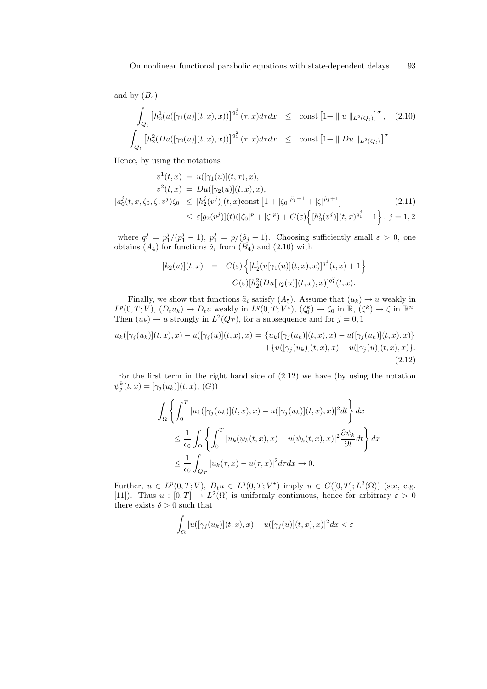and by  $(B_4)$ 

$$
\int_{Q_t} \left[ h_2^1(u([\gamma_1(u)](t,x),x)) \right]^{q_1^1} (\tau, x) d\tau dx \leq \text{ const } \left[ 1 + || u ||_{L^2(Q_t)} \right]^{\sigma}, \quad (2.10)
$$
  

$$
\int_{Q_t} \left[ h_2^2(Du([\gamma_2(u)](t,x),x)) \right]^{q_1^2} (\tau, x) d\tau dx \leq \text{ const } \left[ 1 + || Du ||_{L^2(Q_t)} \right]^{\sigma}.
$$

Hence, by using the notations

$$
v^{1}(t,x) = u([\gamma_{1}(u)](t,x),x),
$$
  
\n
$$
v^{2}(t,x) = Du([\gamma_{2}(u)](t,x),x),
$$
  
\n
$$
|a_{0}^{j}(t,x,\zeta_{0},\zeta;v^{j})\zeta_{0}| \leq [h_{2}^{j}(v^{j})](t,x)\text{const} [1+|\zeta_{0}|^{\tilde{\rho}_{j}+1}+|\zeta|^{\tilde{\rho}_{j}+1}]
$$
  
\n
$$
\leq \varepsilon[g_{2}(v^{j})](t)(|\zeta_{0}|^{p}+|\zeta|^{p})+C(\varepsilon)\Big\{[h_{2}^{j}(v^{j})](t,x)^{q_{1}^{j}}+1\Big\}, j=1,2
$$

where  $q_1^j = p_1^j/(p_1^j - 1)$ ,  $p_1^j = p/(\tilde{\rho}_j + 1)$ . Choosing sufficiently small  $\varepsilon > 0$ , one obtains  $(A_4)$  for functions  $\tilde{a}_i$  from  $(B_4)$  and  $(2.10)$  with

$$
[k_2(u)](t,x) = C(\varepsilon) \left\{ [h_2^1(u[\gamma_1(u)](t,x),x)]^{q_1^1}(t,x) + 1 \right\} + C(\varepsilon) [h_2^2(Du[\gamma_2(u)](t,x),x)]^{q_1^2}(t,x).
$$

Finally, we show that functions  $\tilde{a}_i$  satisfy  $(A_5)$ . Assume that  $(u_k) \to u$  weakly in  $L^p(0,T;V)$ ,  $(D_t u_k) \to D_t u$  weakly in  $L^q(0,T;V^*)$ ,  $(\zeta_0^k) \to \zeta_0$  in  $\mathbb{R}$ ,  $(\zeta^k) \to \zeta$  in  $\mathbb{R}^n$ . Then  $(u_k) \to u$  strongly in  $L^2(Q_T)$ , for a subsequence and for  $j = 0, 1$ 

$$
u_k([\gamma_j(u_k)](t,x),x) - u([\gamma_j(u)](t,x),x) = \{u_k([\gamma_j(u_k)](t,x),x) - u([\gamma_j(u_k)](t,x),x)\} + \{u([\gamma_j(u_k)](t,x),x) - u([\gamma_j(u)](t,x),x)\}.
$$
\n(2.12)

For the first term in the right hand side of (2.12) we have (by using the notation  $\psi_j^k(t, x) = [\gamma_j(u_k)](t, x), (G))$ 

$$
\int_{\Omega} \left\{ \int_0^T |u_k([\gamma_j(u_k)](t,x),x) - u([\gamma_j(u_k)](t,x),x)|^2 dt \right\} dx
$$
  
\n
$$
\leq \frac{1}{c_0} \int_{\Omega} \left\{ \int_0^T |u_k(\psi_k(t,x),x) - u(\psi_k(t,x),x)|^2 \frac{\partial \psi_k}{\partial t} dt \right\} dx
$$
  
\n
$$
\leq \frac{1}{c_0} \int_{Q_T} |u_k(\tau,x) - u(\tau,x)|^2 d\tau dx \to 0.
$$

Further,  $u \in L^p(0,T;V)$ ,  $D_t u \in L^q(0,T;V^*)$  imply  $u \in C([0,T];L^2(\Omega))$  (see, e.g. [11]). Thus  $u : [0, T] \to L^2(\Omega)$  is uniformly continuous, hence for arbitrary  $\varepsilon > 0$ there exists  $\delta > 0$  such that

$$
\int_{\Omega} |u([\gamma_j(u_k)](t,x),x) - u([\gamma_j(u)](t,x),x)|^2 dx < \varepsilon
$$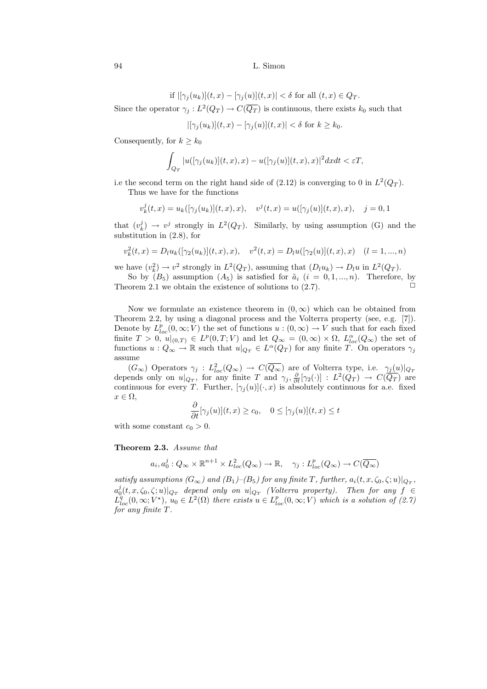if 
$$
|[\gamma_j(u_k)](t,x) - [\gamma_j(u)](t,x)| < \delta
$$
 for all  $(t,x) \in Q_T$ .

Since the operator  $\gamma_j: L^2(Q_T) \to C(\overline{Q_T})$  is continuous, there exists  $k_0$  such that

$$
|[\gamma_j(u_k)](t,x)-[\gamma_j(u)](t,x)| < \delta \text{ for } k \ge k_0.
$$

Consequently, for  $k \geq k_0$ 

$$
\int_{Q_T} |u([\gamma_j(u_k)](t,x),x) - u([\gamma_j(u)](t,x),x)|^2 dx dt < \varepsilon T,
$$

i.e the second term on the right hand side of  $(2.12)$  is converging to 0 in  $L^2(Q_T)$ .

Thus we have for the functions

$$
v_k^j(t,x) = u_k([\gamma_j(u_k)](t,x),x), \quad v^j(t,x) = u([\gamma_j(u)](t,x),x), \quad j = 0,1
$$

that  $(v_k^j) \to v^j$  strongly in  $L^2(Q_T)$ . Similarly, by using assumption (G) and the substitution in (2.8), for

$$
v_k^2(t,x) = D_l u_k([\gamma_2(u_k)](t,x),x), \quad v^2(t,x) = D_l u([\gamma_2(u)](t,x),x) \quad (l = 1,...,n)
$$

we have  $(v_k^2) \to v^2$  strongly in  $L^2(Q_T)$ , assuming that  $(D_l u_k) \to D_l u$  in  $L^2(Q_T)$ .

So by  $(B_5)$  assumption  $(A_5)$  is satisfied for  $\tilde{a}_i$   $(i = 0, 1, ..., n)$ . Therefore, by Theorem 2.1 we obtain the existence of solutions to  $(2.7)$ .

Now we formulate an existence theorem in  $(0, \infty)$  which can be obtained from Theorem 2.2, by using a diagonal process and the Volterra property (see, e.g. [7]). Denote by  $L_{loc}^p(0,\infty; V)$  the set of functions  $u:(0,\infty) \to V$  such that for each fixed finite  $T > 0$ ,  $u|_{(0,T)} \in L^p(0,T;V)$  and let  $Q_\infty = (0,\infty) \times \Omega$ ,  $L_{loc}^{\alpha}(Q_\infty)$  the set of functions  $u: Q_{\infty} \to \mathbb{R}$  such that  $u|_{Q_T} \in L^{\alpha}(Q_T)$  for any finite T. On operators  $\gamma_j$ assume

 $(G_{\infty})$  Operators  $\gamma_j : L^2_{loc}(Q_{\infty}) \to C(\overline{Q_{\infty}})$  are of Volterra type, i.e.  $\gamma_j(u)|_{Q_T}$ depends only on  $u|_{Q_T}$ , for any finite T and  $\gamma_j$ ,  $\frac{\partial}{\partial t}[\gamma_2(\cdot)] : L^2(Q_T) \to C(\overline{Q_T})$  are continuous for every T. Further,  $[\gamma_j(u)](\cdot,x)$  is absolutely continuous for a.e. fixed  $x \in \Omega$ ,

$$
\frac{\partial}{\partial t}[\gamma_j(u)](t,x) \ge c_0, \quad 0 \le [\gamma_j(u)](t,x) \le t
$$

with some constant  $c_0 > 0$ .

#### Theorem 2.3. Assume that

$$
a_i, a_0^j: Q_\infty \times \mathbb{R}^{n+1} \times L^2_{loc}(Q_\infty) \to \mathbb{R}, \quad \gamma_j: L^p_{loc}(Q_\infty) \to C(\overline{Q_\infty})
$$

satisfy assumptions ( $G_{\infty}$ ) and ( $B_1$ )–( $B_5$ ) for any finite T, further,  $a_i(t, x, \zeta_0, \zeta; u)|_{Q_T}$ ,  $a_0^j(t,x,\zeta_0,\zeta;u)|_{Q_T}$  depend only on  $u|_{Q_T}$  (Volterra property). Then for any  $f \in$  $L_{loc}^q(0,\infty; V^*)$ ,  $u_0 \in L^2(\Omega)$  there exists  $u \in L_{loc}^p(0,\infty; V)$  which is a solution of  $(2.7)$ for any finite T.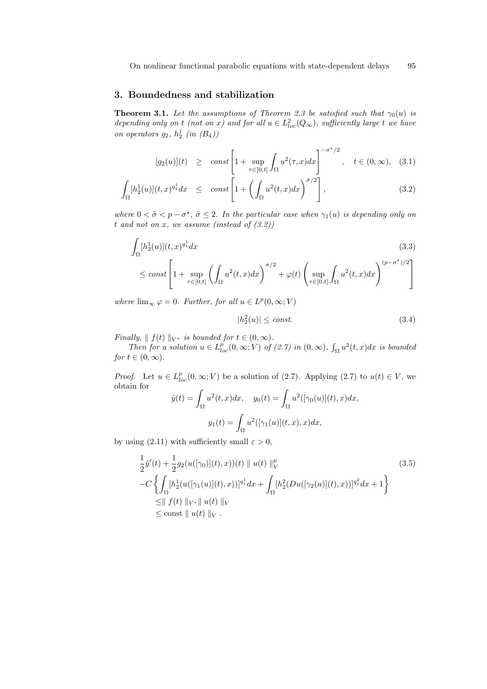# 3. Boundedness and stabilization

**Theorem 3.1.** Let the assumptions of Theorem 2.3 be satisfied such that  $\gamma_0(u)$  is depending only on t (not on x) and for all  $u \in L^2_{loc}(Q_\infty)$ , sufficiently large t we have on operators  $g_2$ ,  $h_2^j$  (in  $(B_4)$ )

$$
[g_2(u)](t) \geq const \left[1 + \sup_{\tau \in [0,t]} \int_{\Omega} u^2(\tau, x) dx\right]^{-\sigma^{\star}/2}, \quad t \in (0,\infty), \quad (3.1)
$$

$$
\int_{\Omega} [h_2^1(u)](t,x)^{q_1^1} dx \leq const \left[ 1 + \left( \int_{\Omega} u^2(t,x) dx \right)^{\tilde{\sigma}/2} \right], \tag{3.2}
$$

where  $0 < \tilde{\sigma} < p - \sigma^*$ ,  $\tilde{\sigma} \leq 2$ . In the particular case when  $\gamma_1(u)$  is depending only on t and not on  $x$ , we assume (instead of  $(3.2)$ )

$$
\int_{\Omega} [h_2^1(u)](t,x)^{q_1^1} dx
$$
\n
$$
\leq const \left[ 1 + \sup_{\tau \in [0,t]} \left( \int_{\Omega} u^2(t,x) dx \right)^{\sigma/2} + \varphi(t) \left( \sup_{\tau \in [0,t]} \int_{\Omega} u^2(t,x) dx \right)^{(p-\sigma^*)/2} \right]
$$
\n(3.3)

where  $\lim_{\infty} \varphi = 0$ . Further, for all  $u \in L^p(0, \infty; V)$ 

$$
|h_2^2(u)| \le \text{const.} \tag{3.4}
$$

Finally,  $|| f(t) ||_{V^*}$  is bounded for  $t \in (0, \infty)$ .

Then for a solution  $u \in L_{loc}^p(0,\infty;V)$  of (2.7) in  $(0,\infty)$ ,  $\int_{\Omega} u^2(t,x)dx$  is bounded for  $t \in (0, \infty)$ .

*Proof.* Let  $u \in L^p_{loc}(0,\infty; V)$  be a solution of (2.7). Applying (2.7) to  $u(t) \in V$ , we obtain for  $\tilde{y}(t) = \int u^2$  $dx,$ 

$$
= \int_{\Omega} u^{2}(t, x)dx, \quad y_{0}(t) = \int_{\Omega} u^{2}([\gamma_{0}(u)](t), x)dx
$$

$$
y_{1}(t) = \int_{\Omega} u^{2}([\gamma_{1}(u)](t, x), x)dx,
$$

by using (2.11) with sufficiently small  $\varepsilon > 0$ ,

$$
\frac{1}{2}\tilde{y}'(t) + \frac{1}{2}g_2(u([\gamma_0)](t),x))(t) \parallel u(t) \parallel_V^p
$$
\n
$$
-C \left\{ \int_{\Omega} [h_2^1(u([\gamma_1(u)](t),x))]^{q_1^1} dx + \int_{\Omega} [h_2^2(Du([\gamma_2(u)](t),x))]^{q_1^2} dx + 1 \right\}
$$
\n
$$
\leq \parallel f(t) \parallel_{V^*} \parallel u(t) \parallel_V
$$
\n
$$
\leq \text{const} \parallel u(t) \parallel_V.
$$
\n(3.5)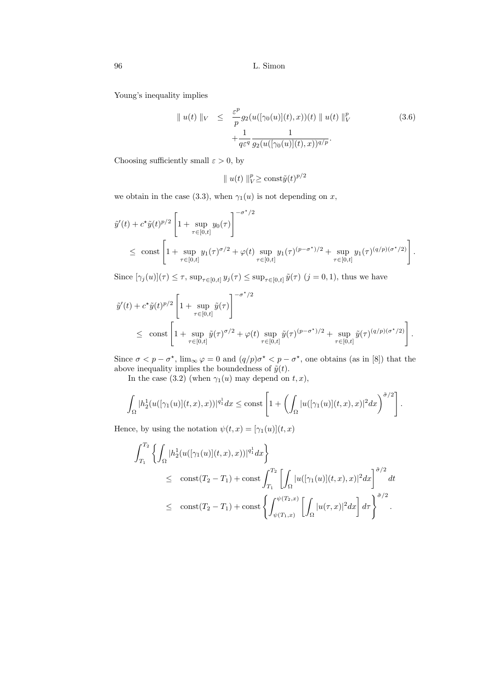Young's inequality implies

$$
\| u(t) \|_{V} \leq \frac{\varepsilon^{p}}{p} g_{2}(u([\gamma_{0}(u)](t), x))(t) \| u(t) \|_{V}^{p} + \frac{1}{q\varepsilon^{q}} \frac{1}{g_{2}(u([\gamma_{0}(u)](t), x))^{q/p}}.
$$
\n(3.6)

Choosing sufficiently small  $\varepsilon > 0$ , by

$$
\|u(t)\|_{V}^{p} \geq \text{const} \tilde{y}(t)^{p/2}
$$

we obtain in the case (3.3), when  $\gamma_1(u)$  is not depending on x,

$$
\tilde{y}'(t) + c^{\star}\tilde{y}(t)^{p/2} \left[ 1 + \sup_{\tau \in [0,t]} y_0(\tau) \right]^{-\sigma^{\star}/2}
$$
\n
$$
\leq \text{ const } \left[ 1 + \sup_{\tau \in [0,t]} y_1(\tau)^{\sigma/2} + \varphi(t) \sup_{\tau \in [0,t]} y_1(\tau)^{(p-\sigma^{\star})/2} + \sup_{\tau \in [0,t]} y_1(\tau)^{(q/p)(\sigma^{\star}/2)} \right].
$$

Since  $[\gamma_j(u)](\tau) \leq \tau$ ,  $\sup_{\tau \in [0,t]} y_j(\tau) \leq \sup_{\tau \in [0,t]} \tilde{y}(\tau)$   $(j = 0, 1)$ , thus we have

$$
\tilde{y}'(t) + c^{\star}\tilde{y}(t)^{p/2} \left[1 + \sup_{\tau \in [0,t]} \tilde{y}(\tau)\right]^{-\sigma^{\star}/2}
$$
\n
$$
\leq \text{ const } \left[1 + \sup_{\tau \in [0,t]} \tilde{y}(\tau)^{\sigma/2} + \varphi(t) \sup_{\tau \in [0,t]} \tilde{y}(\tau)^{(p-\sigma^{\star})/2} + \sup_{\tau \in [0,t]} \tilde{y}(\tau)^{(q/p)(\sigma^{\star}/2)}\right].
$$

Since  $\sigma < p - \sigma^*$ ,  $\lim_{\infty} \varphi = 0$  and  $(q/p)\sigma^* < p - \sigma^*$ , one obtains (as in [8]) that the above inequality implies the boundedness of  $\tilde{y}(t)$ .

In the case (3.2) (when  $\gamma_1(u)$  may depend on  $t, x$ ),

$$
\int_{\Omega}|h_2^1(u([\gamma_1(u)](t,x),x))|^{q_1^1}dx \leq \text{const}\left[1+\left(\int_{\Omega}|u([\gamma_1(u)](t,x),x)|^2dx\right)^{\tilde{\sigma}/2}\right].
$$

Hence, by using the notation  $\psi(t,x)=[\gamma_1(u)](t,x)$ 

$$
\int_{T_1}^{T_2} \left\{ \int_{\Omega} |h_2^1(u([\gamma_1(u)](t,x),x))|^{q_1^1} dx \right\} \n\leq \text{ const}(T_2 - T_1) + \text{const} \int_{T_1}^{T_2} \left[ \int_{\Omega} |u([\gamma_1(u)](t,x),x)|^2 dx \right]^{\tilde{\sigma}/2} dt \n\leq \text{ const}(T_2 - T_1) + \text{const} \left\{ \int_{\psi(T_1,x)}^{\psi(T_2,x)} \left[ \int_{\Omega} |u(\tau,x)|^2 dx \right] d\tau \right\}^{\tilde{\sigma}/2} .
$$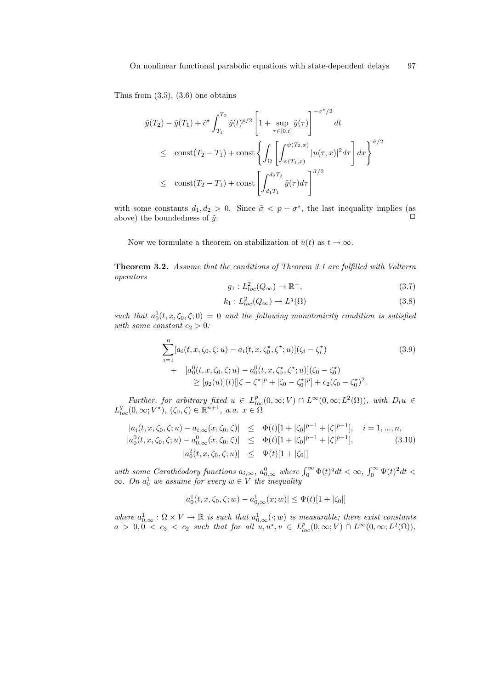Thus from  $(3.5)$ ,  $(3.6)$  one obtains

$$
\tilde{y}(T_2) - \tilde{y}(T_1) + \tilde{c}^{\star} \int_{T_1}^{T_2} \tilde{y}(t)^{p/2} \left[ 1 + \sup_{\tau \in [0,t]} \tilde{y}(\tau) \right]^{-\sigma^{\star}/2} dt
$$
\n
$$
\leq \text{ const}(T_2 - T_1) + \text{const} \left\{ \int_{\Omega} \left[ \int_{\psi(T_1, x)}^{\psi(T_2, x)} |u(\tau, x)|^2 d\tau \right] dx \right\}^{\tilde{\sigma}/2}
$$
\n
$$
\leq \text{ const}(T_2 - T_1) + \text{const} \left[ \int_{d_1 T_1}^{d_2 T_2} \tilde{y}(\tau) d\tau \right]^{\tilde{\sigma}/2}
$$

with some constants  $d_1, d_2 > 0$ . Since  $\tilde{\sigma} < p - \sigma^*$ , the last inequality implies (as above) the boundedness of  $\tilde{y}$ .

Now we formulate a theorem on stabilization of  $u(t)$  as  $t \to \infty$ .

Theorem 3.2. Assume that the conditions of Theorem 3.1 are fulfilled with Volterra operators

$$
g_1: L^2_{loc}(Q_\infty) \to \mathbb{R}^+, \tag{3.7}
$$

$$
k_1: L^2_{loc}(Q_\infty) \to L^q(\Omega) \tag{3.8}
$$

such that  $a_0^1(t, x, \zeta_0, \zeta; 0) = 0$  and the following monotonicity condition is satisfied with some constant  $c_2 > 0$ :

$$
\sum_{i=1}^{n} [a_i(t, x, \zeta_0, \zeta; u) - a_i(t, x, \zeta_0^*, \zeta^*; u)](\zeta_i - \zeta_i^*)
$$
\n
$$
+ [a_0^0(t, x, \zeta_0, \zeta; u) - a_0^0(t, x, \zeta_0^*, \zeta^*; u)](\zeta_0 - \zeta_0^*)
$$
\n
$$
\ge [g_2(u)](t)[|\zeta - \zeta^*|^p + |\zeta_0 - \zeta_0^*|^p] + c_2(\zeta_0 - \zeta_0^*)^2.
$$
\n(3.9)

Further, for arbitrary fixed  $u \in L_{loc}^p(0,\infty;V) \cap L^{\infty}(0,\infty;L^2(\Omega))$ , with  $D_t u \in$  $L^q_{loc}(0,\infty;V^\star),\,(\zeta_0,\zeta)\in\mathbb{R}^{n+1},\ a.a.\ x\in\widetilde{\Omega}$ 

$$
|a_i(t, x, \zeta_0, \zeta; u) - a_{i, \infty}(x, \zeta_0, \zeta)| \leq \Phi(t)[1 + |\zeta_0|^{p-1} + |\zeta|^{p-1}], \quad i = 1, ..., n,
$$
  
\n
$$
|a_0^0(t, x, \zeta_0, \zeta; u) - a_{0, \infty}^0(x, \zeta_0, \zeta)| \leq \Phi(t)[1 + |\zeta_0|^{p-1} + |\zeta|^{p-1}], \qquad (3.10)
$$
  
\n
$$
|a_0^2(t, x, \zeta_0, \zeta; u)| \leq \Psi(t)[1 + |\zeta_0|]
$$

with some Carathéodory functions  $a_{i,\infty}$ ,  $a_{0,\infty}^0$  where  $\int_0^\infty \Phi(t)^q dt < \infty$ ,  $\int_0^\infty \Psi(t)^2 dt <$  $\infty$ . On  $a_0^1$  we assume for every  $w \in V$  the inequality

$$
|a_0^1(t, x, \zeta_0, \zeta; w) - a_{0,\infty}^1(x; w)| \le \Psi(t)[1 + |\zeta_0|]
$$

where  $a_{0,\infty}^1 : \Omega \times V \to \mathbb{R}$  is such that  $a_{0,\infty}^1(\cdot; w)$  is measurable; there exist constants  $a > 0, 0 < c_3 < c_2$  such that for all  $u, u^{\star}, v \in L_{loc}^p(0, \infty; V) \cap L^{\infty}(0, \infty; L^2(\Omega)),$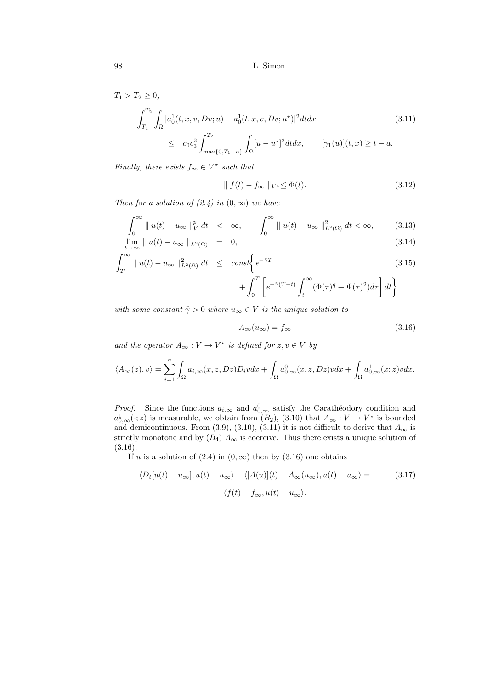$$
T_1 > T_2 \ge 0,
$$
  
\n
$$
\int_{T_1}^{T_2} \int_{\Omega} |a_0^1(t, x, v, Dv; u) - a_0^1(t, x, v, Dv; u^*)|^2 dt dx
$$
\n
$$
\le c_0 c_3^2 \int_{\max\{0, T_1 - a\}}^{T_2} \int_{\Omega} [u - u^*]^2 dt dx, \qquad [\gamma_1(u)](t, x) \ge t - a.
$$
\n(3.11)

Finally, there exists  $f_{\infty} \in V^*$  such that

$$
\| f(t) - f_{\infty} \|_{V^*} \le \Phi(t). \tag{3.12}
$$

Then for a solution of  $(2.4)$  in  $(0, \infty)$  we have

$$
\int_0^\infty \|u(t) - u_\infty\|_V^p dt < \infty, \qquad \int_0^\infty \|u(t) - u_\infty\|_{L^2(\Omega)}^2 dt < \infty,
$$
 (3.13)  

$$
\lim_{h \to 0} \|u(t) - u_\infty\|_{L^2(\Omega)} = 0.
$$
 (3.14)

$$
\lim_{t \to \infty} \|u(t) - u_{\infty}\|_{L^{2}(\Omega)} = 0,
$$
\n(3.14)

$$
\int_{T}^{\infty} \|u(t) - u_{\infty}\|_{L^{2}(\Omega)}^{2} dt \le const \bigg\{ e^{-\tilde{\gamma}T} \tag{3.15}
$$

$$
+\int_0^T \left[ e^{-\tilde{\gamma}(T-t)} \int_t^\infty (\Phi(\tau)^q + \Psi(\tau)^2) d\tau \right] dt \bigg\}
$$

with some constant  $\tilde{\gamma} > 0$  where  $u_{\infty} \in V$  is the unique solution to

$$
A_{\infty}(u_{\infty}) = f_{\infty} \tag{3.16}
$$

and the operator  $A_{\infty}: V \to V^*$  is defined for  $z, v \in V$  by

$$
\langle A_{\infty}(z), v \rangle = \sum_{i=1}^{n} \int_{\Omega} a_{i,\infty}(x, z, Dz) D_i v dx + \int_{\Omega} a_{0,\infty}^0(x, z, Dz) v dx + \int_{\Omega} a_{0,\infty}^1(x, z) v dx.
$$

*Proof.* Since the functions  $a_{i,\infty}$  and  $a_{0,\infty}^0$  satisfy the Carathéodory condition and  $a_{0,\infty}^1(\cdot;z)$  is measurable, we obtain from  $(B_2)$ ,  $(3.10)$  that  $A_{\infty}: V \to V^*$  is bounded and demicontinuous. From (3.9), (3.10), (3.11) it is not difficult to derive that  $A_{\infty}$  is strictly monotone and by  $(B_4)$   $\ddot{A}_{\infty}$  is coercive. Thus there exists a unique solution of (3.16).

If u is a solution of  $(2.4)$  in  $(0, \infty)$  then by  $(3.16)$  one obtains

$$
\langle D_t[u(t) - u_\infty], u(t) - u_\infty \rangle + \langle [A(u)](t) - A_\infty(u_\infty), u(t) - u_\infty \rangle = \qquad (3.17)
$$

$$
\langle f(t) - f_\infty, u(t) - u_\infty \rangle.
$$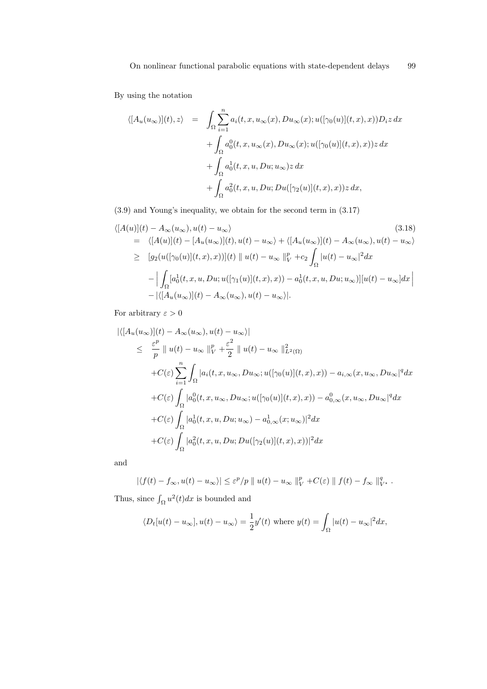By using the notation

$$
\langle [A_u(u_\infty)](t), z \rangle = \int_{\Omega} \sum_{i=1}^n a_i(t, x, u_\infty(x), Du_\infty(x); u([\gamma_0(u)](t, x), x)) D_i z \, dx
$$

$$
+ \int_{\Omega} a_0^0(t, x, u_\infty(x), Du_\infty(x); u([\gamma_0(u)](t, x), x)) z \, dx
$$

$$
+ \int_{\Omega} a_0^1(t, x, u, Du; u_\infty) z \, dx
$$

$$
+ \int_{\Omega} a_0^2(t, x, u, Du; Du([\gamma_2(u)](t, x), x)) z \, dx,
$$

(3.9) and Young's inequality, we obtain for the second term in (3.17)

$$
\langle [A(u)](t) - A_{\infty}(u_{\infty}), u(t) - u_{\infty} \rangle \qquad (3.18)
$$
  
\n
$$
= \langle [A(u)](t) - [A_u(u_{\infty})](t), u(t) - u_{\infty} \rangle + \langle [A_u(u_{\infty})](t) - A_{\infty}(u_{\infty}), u(t) - u_{\infty} \rangle
$$
  
\n
$$
\geq [g_2(u([\gamma_0(u)](t, x), x))](t) \parallel u(t) - u_{\infty} \parallel_V^p + c_2 \int_{\Omega} |u(t) - u_{\infty}|^2 dx
$$
  
\n
$$
- \Big| \int_{\Omega} [a_0^1(t, x, u, Du; u([\gamma_1(u)](t, x), x)) - a_0^1(t, x, u, Du; u_{\infty})][u(t) - u_{\infty}] dx \Big|
$$
  
\n
$$
- |\langle [A_u(u_{\infty})](t) - A_{\infty}(u_{\infty}), u(t) - u_{\infty} \rangle|.
$$
  
\n(3.18)

For arbitrary  $\varepsilon > 0$ 

$$
\begin{split}\n&|\langle [A_u(u_\infty)](t) - A_\infty(u_\infty), u(t) - u_\infty \rangle| \\
&\leq \frac{\varepsilon^p}{p} \|u(t) - u_\infty\|_V^p + \frac{\varepsilon^2}{2} \|u(t) - u_\infty\|_{L^2(\Omega)}^2 \\
&+ C(\varepsilon) \sum_{i=1}^n \int_{\Omega} |a_i(t, x, u_\infty, Du_\infty; u([\gamma_0(u)](t, x), x)) - a_{i,\infty}(x, u_\infty, Du_\infty|^q dx \\
&+ C(\varepsilon) \int_{\Omega} |a_0^0(t, x, u_\infty, Du_\infty; u([\gamma_0(u)](t, x), x)) - a_{0,\infty}^0(x, u_\infty, Du_\infty|^q dx \\
&+ C(\varepsilon) \int_{\Omega} |a_0^1(t, x, u, Du; u_\infty) - a_{0,\infty}^1(x; u_\infty)|^2 dx \\
&+ C(\varepsilon) \int_{\Omega} |a_0^2(t, x, u, Du; Du([\gamma_2(u)](t, x), x))|^2 dx\n\end{split}
$$

and

$$
|\langle f(t) - f_{\infty}, u(t) - u_{\infty} \rangle| \leq \varepsilon^{p} / p \parallel u(t) - u_{\infty} \parallel_{V}^{p} + C(\varepsilon) \parallel f(t) - f_{\infty} \parallel_{V^*}^{q}.
$$

Thus, since  $\int_{\Omega} u^2(t)dx$  is bounded and

$$
\langle D_t[u(t) - u_\infty], u(t) - u_\infty \rangle = \frac{1}{2}y'(t) \text{ where } y(t) = \int_{\Omega} |u(t) - u_\infty|^2 dx,
$$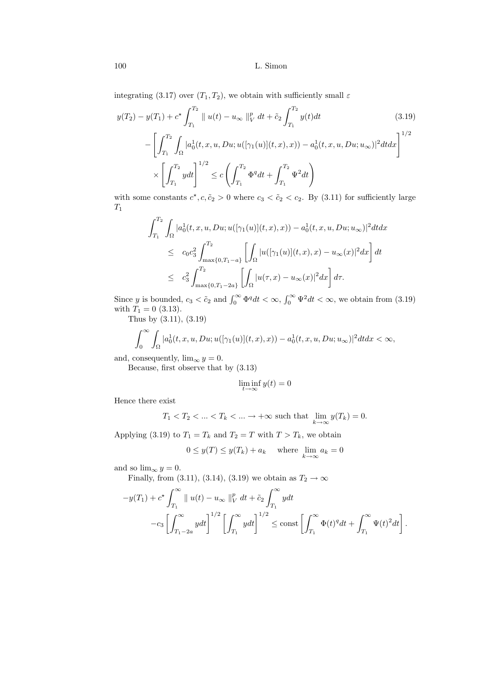integrating (3.17) over  $(T_1, T_2)$ , we obtain with sufficiently small  $\varepsilon$ 

$$
y(T_2) - y(T_1) + c^* \int_{T_1}^{T_2} ||u(t) - u_{\infty}||_V^p dt + \tilde{c}_2 \int_{T_1}^{T_2} y(t)dt
$$
(3.19)  

$$
- \left[ \int_{T_1}^{T_2} \int_{\Omega} |a_0^1(t, x, u, Du; u([\gamma_1(u)](t, x), x)) - a_0^1(t, x, u, Du; u_{\infty})|^2 dt dx \right]^{1/2}
$$
  

$$
\times \left[ \int_{T_1}^{T_2} y dt \right]^{1/2} \le c \left( \int_{T_1}^{T_2} \Phi^q dt + \int_{T_1}^{T_2} \Psi^2 dt \right)
$$

with some constants  $c^*, c, \tilde{c}_2 > 0$  where  $c_3 < \tilde{c}_2 < c_2$ . By (3.11) for sufficiently large  $T_1$ 

$$
\int_{T_1}^{T_2} \int_{\Omega} |a_0^1(t, x, u, Du; u([\gamma_1(u)](t, x), x)) - a_0^1(t, x, u, Du; u_{\infty})|^2 dt dx
$$
  
\n
$$
\leq c_0 c_3^2 \int_{\max\{0, T_1 - a\}}^{T_2} \left[ \int_{\Omega} |u([\gamma_1(u)](t, x), x) - u_{\infty}(x)|^2 dx \right] dt
$$
  
\n
$$
\leq c_3^2 \int_{\max\{0, T_1 - 2a\}}^{T_2} \left[ \int_{\Omega} |u(\tau, x) - u_{\infty}(x)|^2 dx \right] d\tau.
$$

Since y is bounded,  $c_3 < \tilde{c}_2$  and  $\int_0^\infty \Phi^q dt < \infty$ ,  $\int_0^\infty \Psi^2 dt < \infty$ , we obtain from (3.19) with  $T_1 = 0$  (3.13).

Thus by (3.11), (3.19)

$$
\int_0^\infty \int_{\Omega} |a_0^1(t, x, u, Du; u([\gamma_1(u)](t, x), x)) - a_0^1(t, x, u, Du; u_\infty)|^2 dt dx < \infty,
$$

and, consequently,  $\lim_{\infty} y = 0$ .

Because, first observe that by (3.13)

$$
\liminf_{t\to\infty}y(t)=0
$$

Hence there exist

$$
T_1 < T_2 < \dots < T_k < \dots \to +\infty \text{ such that } \lim_{k \to \infty} y(T_k) = 0.
$$

Applying (3.19) to  $T_1 = T_k$  and  $T_2 = T$  with  $T > T_k$ , we obtain

$$
0 \le y(T) \le y(T_k) + a_k \quad \text{where } \lim_{k \to \infty} a_k = 0
$$

and so  $\lim_{\infty} y = 0$ .

Finally, from (3.11), (3.14), (3.19) we obtain as  $T_2 \rightarrow \infty$ 

$$
-y(T_1) + c^* \int_{T_1}^{\infty} \| u(t) - u_{\infty} \|_{V}^p dt + \tilde{c}_2 \int_{T_1}^{\infty} y dt
$$
  

$$
-c_3 \left[ \int_{T_1 - 2a}^{\infty} y dt \right]^{1/2} \left[ \int_{T_1}^{\infty} y dt \right]^{1/2} \le \text{const} \left[ \int_{T_1}^{\infty} \Phi(t)^q dt + \int_{T_1}^{\infty} \Psi(t)^2 dt \right].
$$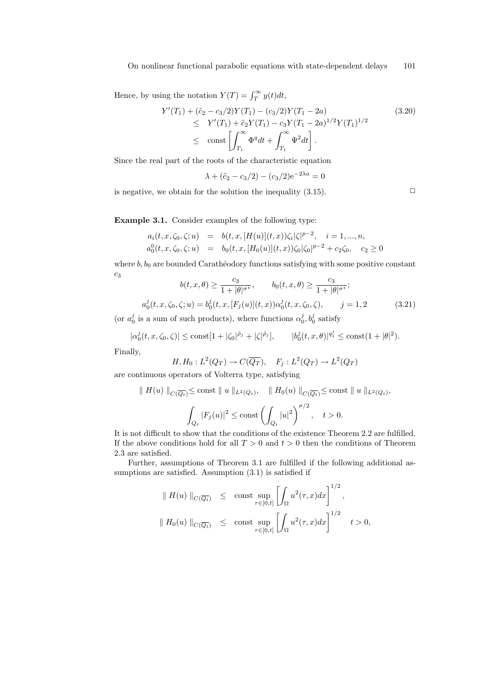Hence, by using the notation  $Y(T) = \int_T^{\infty} y(t)dt$ ,

$$
Y'(T_1) + (\tilde{c}_2 - c_3/2)Y(T_1) - (c_3/2)Y(T_1 - 2a)
$$
  
\n
$$
\leq Y'(T_1) + \tilde{c}_2 Y(T_1) - c_3 Y(T_1 - 2a)^{1/2} Y(T_1)^{1/2}
$$
  
\n
$$
\leq \text{const} \left[ \int_{T_1}^{\infty} \Phi^q dt + \int_{T_1}^{\infty} \Psi^2 dt \right].
$$
\n(3.20)

Since the real part of the roots of the characteristic equation

$$
\lambda + (\tilde{c}_2 - c_3/2) - (c_3/2)e^{-2\lambda a} = 0
$$

is negative, we obtain for the solution the inequality  $(3.15)$ .

Example 3.1. Consider examples of the following type:

$$
a_i(t, x, \zeta_0, \zeta; u) = b(t, x, [H(u)](t, x))\zeta_i|\zeta|^{p-2}, \quad i = 1, ..., n,
$$
  
\n
$$
a_0^0(t, x, \zeta_0, \zeta; u) = b_0(t, x, [H_0(u)](t, x))\zeta_0|\zeta_0|^{p-2} + c_2\zeta_0, \quad c_2 \ge 0
$$

where  $b, b_0$  are bounded Carathéodory functions satisfying with some positive constant  $c<sub>3</sub>$  $\overline{c}$  $c_2$ 

$$
b(t, x, \theta) \ge \frac{c_3}{1 + |\theta|^{\sigma^*}}, \qquad b_0(t, x, \theta) \ge \frac{c_3}{1 + |\theta|^{\sigma^*}};
$$
  

$$
a_0^j(t, x, \zeta_0, \zeta; u) = b_0^j(t, x, [F_j(u)](t, x)) \alpha_0^j(t, x, \zeta_0, \zeta), \qquad j = 1, 2
$$
 (3.21)

(or  $a_0^j$  is a sum of such products), where functions  $\alpha_0^j$ ,  $b_0^j$  satisfy

$$
|\alpha_0^j(t, x, \zeta_0, \zeta)| \le \text{const}[1 + |\zeta_0|^{\tilde{\rho}_j} + |\zeta|^{\tilde{\rho}_j}], \qquad |b_0^j(t, x, \theta)|^{q_1^j} \le \text{const}(1 + |\theta|^2).
$$

Finally,

$$
H, H_0: L^2(Q_T) \to C(\overline{Q_T}), \quad F_j: L^2(Q_T) \to L^2(Q_T)
$$

are continuous operators of Volterra type, satisfying

$$
\|H(u)\|_{C(\overline{Q_t})} \le \text{const} \|u\|_{L^2(Q_t)}, \quad \|H_0(u)\|_{C(\overline{Q_t})} \le \text{const} \|u\|_{L^2(Q_t)},
$$

$$
\int_{Q_t} |F_j(u)|^2 \le \text{const} \left(\int_{Q_t} |u|^2\right)^{\sigma/2}, \quad t > 0.
$$

It is not difficult to show that the conditions of the existence Theorem 2.2 are fulfilled. If the above conditions hold for all  $T > 0$  and  $t > 0$  then the conditions of Theorem 2.3 are satisfied.

Further, assumptions of Theorem 3.1 are fulfilled if the following additional assumptions are satisfied. Assumption  $(3.1)$  is satisfied if

$$
\| H(u) \|_{C(\overline{Q_t})} \le \text{const} \sup_{\tau \in [0,t]} \left[ \int_{\Omega} u^2(\tau, x) dx \right]^{1/2},
$$
  

$$
\| H_0(u) \|_{C(\overline{Q_t})} \le \text{const} \sup_{\tau \in [0,t]} \left[ \int_{\Omega} u^2(\tau, x) dx \right]^{1/2} t > 0,
$$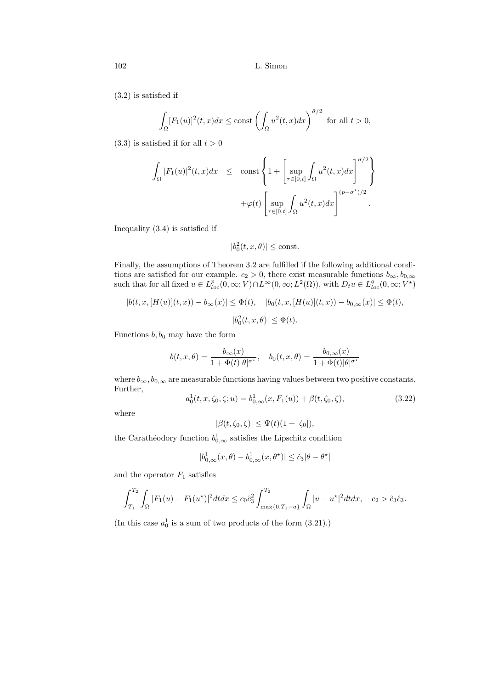(3.2) is satisfied if

$$
\int_{\Omega} [F_1(u)]^2(t, x) dx \le \text{const} \left( \int_{\Omega} u^2(t, x) dx \right)^{\tilde{\sigma}/2} \text{ for all } t > 0,
$$

 $(3.3)$  is satisfied if for all  $t > 0$ 

$$
\int_{\Omega} |F_1(u)|^2(t,x)dx \leq \text{const} \left\{ 1 + \left[ \sup_{\tau \in [0,t]} \int_{\Omega} u^2(t,x)dx \right]^{\sigma/2} \right\}
$$

$$
+ \varphi(t) \left[ \sup_{\tau \in [0,t]} \int_{\Omega} u^2(t,x)dx \right]^{\left(p-\sigma^{\star}\right)/2}.
$$

Inequality (3.4) is satisfied if

$$
|b_0^2(t, x, \theta)| \le \text{const.}
$$

Finally, the assumptions of Theorem 3.2 are fulfilled if the following additional conditions are satisfied for our example.  $c_2 > 0$ , there exist measurable functions  $b_{\infty}, b_{0,\infty}$ such that for all fixed  $u \in L_{loc}^p(0,\infty;V) \cap L^{\infty}(0,\infty;L^2(\Omega))$ , with  $D_t u \in L_{loc}^q(0,\infty;V^{\star})$ 

$$
|b(t, x, [H(u)](t, x)) - b_{\infty}(x)| \leq \Phi(t), \quad |b_0(t, x, [H(u)](t, x)) - b_{0, \infty}(x)| \leq \Phi(t),
$$
  

$$
|b_0^2(t, x, \theta)| \leq \Phi(t).
$$

Functions  $b, b_0$  may have the form

$$
b(t, x, \theta) = \frac{b_{\infty}(x)}{1 + \Phi(t)|\theta|^{\sigma^{\star}}}, \quad b_0(t, x, \theta) = \frac{b_{0, \infty}(x)}{1 + \Phi(t)|\theta|^{\sigma^{\star}}}
$$

where  $b_{\infty}, b_{0,\infty}$  are measurable functions having values between two positive constants. Further,

$$
a_0^1(t, x, \zeta_0, \zeta; u) = b_{0,\infty}^1(x, F_1(u)) + \beta(t, \zeta_0, \zeta), \qquad (3.22)
$$

where

$$
|\beta(t,\zeta_0,\zeta)| \le \Psi(t)(1+|\zeta_0|),
$$

the Carathéodory function  $b^1_{0,\infty}$  satisfies the Lipschitz condition

$$
|b^1_{0,\infty}(x,\theta)-b^1_{0,\infty}(x,\theta^\star)|\leq \tilde{c}_3|\theta-\theta^\star|
$$

and the operator  $F_1$  satisfies

$$
\int_{T_1}^{T_2} \int_{\Omega} |F_1(u) - F_1(u^*)|^2 dt dx \leq c_0 \hat{c}_3^2 \int_{\max\{0, T_1 - a\}}^{T_2} \int_{\Omega} |u - u^*|^2 dt dx, \quad c_2 > \tilde{c}_3 \hat{c}_3.
$$

(In this case  $a_0^1$  is a sum of two products of the form  $(3.21)$ .)